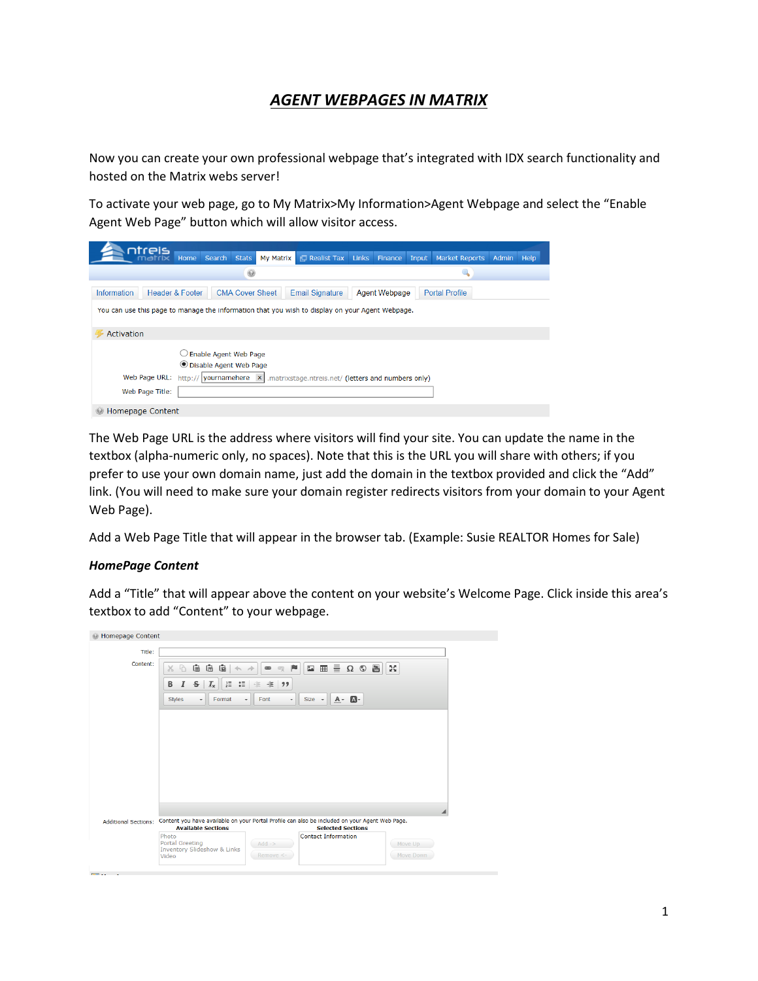## *AGENT WEBPAGES IN MATRIX*

Now you can create your own professional webpage that's integrated with IDX search functionality and hosted on the Matrix webs server!

To activate your web page, go to My Matrix>My Information>Agent Webpage and select the "Enable Agent Web Page" button which will allow visitor access.

| ntreis<br>Search<br><b>Stats</b><br>Home                                                        | <b>ID</b> Realist Tax Links<br>My Matrix                            | Finance       | Input | <b>Market Reports</b> | Admin Help |  |
|-------------------------------------------------------------------------------------------------|---------------------------------------------------------------------|---------------|-------|-----------------------|------------|--|
| $_{\odot}$                                                                                      |                                                                     |               |       |                       |            |  |
| Header & Footer<br><b>CMA Cover Sheet</b><br>Information                                        | <b>Email Signature</b>                                              | Agent Webpage |       | <b>Portal Profile</b> |            |  |
| You can use this page to manage the information that you wish to display on your Agent Webpage. |                                                                     |               |       |                       |            |  |
| Activation                                                                                      |                                                                     |               |       |                       |            |  |
| $\bigcirc$ Enable Agent Web Page<br><b>O</b> Disable Agent Web Page                             |                                                                     |               |       |                       |            |  |
| Web Page URL:<br>http:// vournamehere                                                           | $\mathsf{x}$<br>.matrixstage.ntreis.net/ (letters and numbers only) |               |       |                       |            |  |
| Web Page Title:                                                                                 |                                                                     |               |       |                       |            |  |
| Homepage Content                                                                                |                                                                     |               |       |                       |            |  |

The Web Page URL is the address where visitors will find your site. You can update the name in the textbox (alpha-numeric only, no spaces). Note that this is the URL you will share with others; if you prefer to use your own domain name, just add the domain in the textbox provided and click the "Add" link. (You will need to make sure your domain register redirects visitors from your domain to your Agent Web Page).

Add a Web Page Title that will appear in the browser tab. (Example: Susie REALTOR Homes for Sale)

## *HomePage Content*

 $\frac{1}{2}$  and  $\frac{1}{2}$  and  $\frac{1}{2}$  and  $\frac{1}{2}$ 

Add a "Title" that will appear above the content on your website's Welcome Page. Click inside this area's textbox to add "Content" to your webpage.

| Homepage Content            |                                                                                                                                                                                                                                  |
|-----------------------------|----------------------------------------------------------------------------------------------------------------------------------------------------------------------------------------------------------------------------------|
| Title:<br>Content:          | 個<br>喧<br>個<br>2 曲 量<br>$\frac{\pi}{2}$<br>P<br>$\circledS$<br>80<br>$\Omega$<br>西<br>$_{\tiny{\textregistered}}$<br>$C_{X}$<br>$\Leftrightarrow$ $\Rightarrow$<br>10 10 11<br>В<br>I<br>s<br>非 99<br>$I_{x}$                    |
|                             | $\mathbf{a}$<br><b>Styles</b><br>$Size -$<br>$A -$<br>Format<br>$\;$<br>Font<br>$\overline{\phantom{a}}$<br>$\check{\phantom{a}}$                                                                                                |
|                             |                                                                                                                                                                                                                                  |
| <b>Additional Sections:</b> | Content you have available on your Portal Profile can also be included on your Agent Web Page.                                                                                                                                   |
|                             | <b>Selected Sections</b><br><b>Available Sections</b><br>Photo<br><b>Contact Information</b><br><b>Portal Greeting</b><br>$Add$ -><br>Move Up<br><b>Inventory Slideshow &amp; Links</b><br>Move Down<br>Remove $\leq$ -<br>Video |